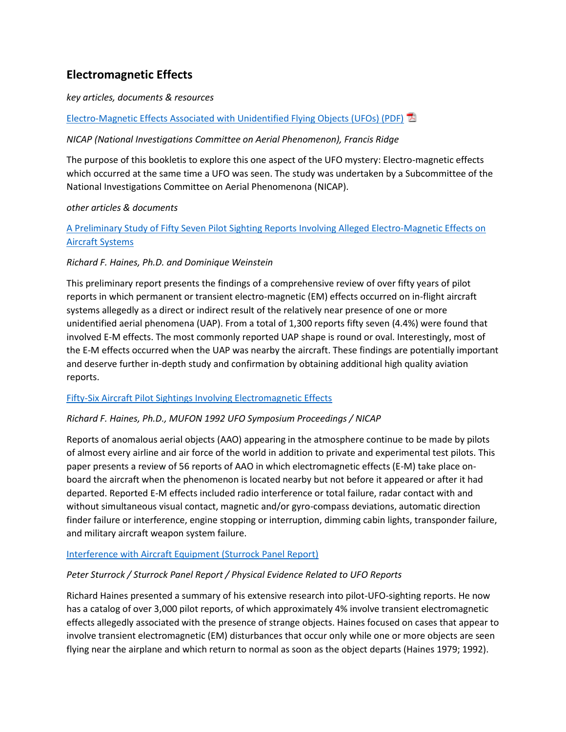# **Electromagnetic Effects**

## *key articles, documents & resources*

# [Electro-Magnetic Effects Associated with Unidentified Flying Objects \(UFOs\) \(PDF\)](http://www.ufoevidence.org/Files/NICAPReportEMEffectsofUFOs.pdf)

# *NICAP (National Investigations Committee on Aerial Phenomenon), Francis Ridge*

The purpose of this bookletis to explore this one aspect of the UFO mystery: Electro-magnetic effects which occurred at the same time a UFO was seen. The study was undertaken by a Subcommittee of the National Investigations Committee on Aerial Phenomenona (NICAP).

### *other articles & documents*

# [A Preliminary Study of Fifty Seven Pilot Sighting Reports Involving Alleged Electro-Magnetic Effects on](http://www.narcap.org/REPORTS/Emcarm.htm)  [Aircraft Systems](http://www.narcap.org/REPORTS/Emcarm.htm)

### *Richard F. Haines, Ph.D. and Dominique Weinstein*

This preliminary report presents the findings of a comprehensive review of over fifty years of pilot reports in which permanent or transient electro-magnetic (EM) effects occurred on in-flight aircraft systems allegedly as a direct or indirect result of the relatively near presence of one or more unidentified aerial phenomena (UAP). From a total of 1,300 reports fifty seven (4.4%) were found that involved E-M effects. The most commonly reported UAP shape is round or oval. Interestingly, most of the E-M effects occurred when the UAP was nearby the aircraft. These findings are potentially important and deserve further in-depth study and confirmation by obtaining additional high quality aviation reports.

### [Fifty-Six Aircraft Pilot Sightings Involving Electromagnetic Effects](http://www.nicap.dabsol.co.uk/92apsiee.htm)

### *Richard F. Haines, Ph.D., MUFON 1992 UFO Symposium Proceedings / NICAP*

Reports of anomalous aerial objects (AAO) appearing in the atmosphere continue to be made by pilots of almost every airline and air force of the world in addition to private and experimental test pilots. This paper presents a review of 56 reports of AAO in which electromagnetic effects (E-M) take place onboard the aircraft when the phenomenon is located nearby but not before it appeared or after it had departed. Reported E-M effects included radio interference or total failure, radar contact with and without simultaneous visual contact, magnetic and/or gyro-compass deviations, automatic direction finder failure or interference, engine stopping or interruption, dimming cabin lights, transponder failure, and military aircraft weapon system failure.

### [Interference with Aircraft Equipment \(Sturrock Panel Report\)](http://www.ufoevidence.org/documents/doc621.htm)

# *Peter Sturrock / Sturrock Panel Report / Physical Evidence Related to UFO Reports*

Richard Haines presented a summary of his extensive research into pilot-UFO-sighting reports. He now has a catalog of over 3,000 pilot reports, of which approximately 4% involve transient electromagnetic effects allegedly associated with the presence of strange objects. Haines focused on cases that appear to involve transient electromagnetic (EM) disturbances that occur only while one or more objects are seen flying near the airplane and which return to normal as soon as the object departs (Haines 1979; 1992).